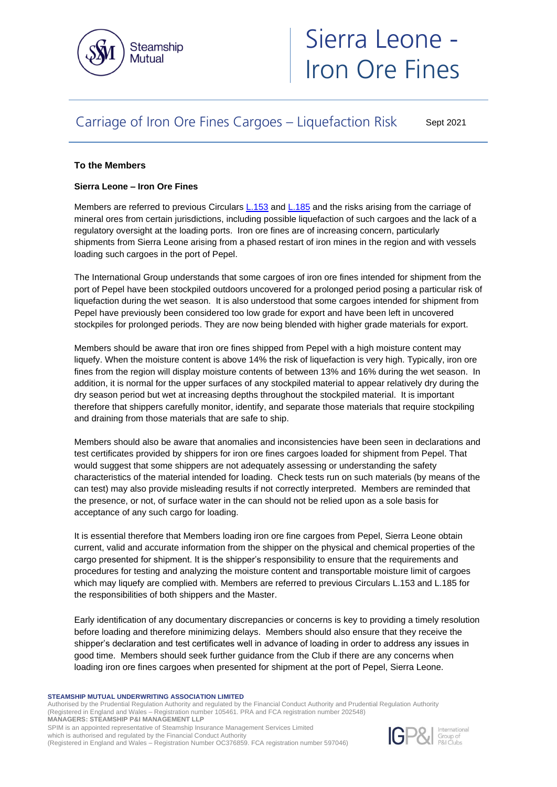

# Sierra Leone - Iron Ore Fines

## Carriage of Iron Ore Fines Cargoes – Liquefaction Risk

Sept 2021

### **To the Members**

#### **Sierra Leone – Iron Ore Fines**

Members are referred to previous Circulars [L.153](https://www.steamshipmutual.com/Circulars-London/L.153.pdf) and [L.185](https://www.steamshipmutual.com/Circulars-London/L.185.pdf) and the risks arising from the carriage of mineral ores from certain jurisdictions, including possible liquefaction of such cargoes and the lack of a regulatory oversight at the loading ports. Iron ore fines are of increasing concern, particularly shipments from Sierra Leone arising from a phased restart of iron mines in the region and with vessels loading such cargoes in the port of Pepel.

The International Group understands that some cargoes of iron ore fines intended for shipment from the port of Pepel have been stockpiled outdoors uncovered for a prolonged period posing a particular risk of liquefaction during the wet season. It is also understood that some cargoes intended for shipment from Pepel have previously been considered too low grade for export and have been left in uncovered stockpiles for prolonged periods. They are now being blended with higher grade materials for export.

Members should be aware that iron ore fines shipped from Pepel with a high moisture content may liquefy. When the moisture content is above 14% the risk of liquefaction is very high. Typically, iron ore fines from the region will display moisture contents of between 13% and 16% during the wet season. In addition, it is normal for the upper surfaces of any stockpiled material to appear relatively dry during the dry season period but wet at increasing depths throughout the stockpiled material. It is important therefore that shippers carefully monitor, identify, and separate those materials that require stockpiling and draining from those materials that are safe to ship.

Members should also be aware that anomalies and inconsistencies have been seen in declarations and test certificates provided by shippers for iron ore fines cargoes loaded for shipment from Pepel. That would suggest that some shippers are not adequately assessing or understanding the safety characteristics of the material intended for loading. Check tests run on such materials (by means of the can test) may also provide misleading results if not correctly interpreted. Members are reminded that the presence, or not, of surface water in the can should not be relied upon as a sole basis for acceptance of any such cargo for loading.

It is essential therefore that Members loading iron ore fine cargoes from Pepel, Sierra Leone obtain current, valid and accurate information from the shipper on the physical and chemical properties of the cargo presented for shipment. It is the shipper's responsibility to ensure that the requirements and procedures for testing and analyzing the moisture content and transportable moisture limit of cargoes which may liquefy are complied with. Members are referred to previous Circulars L.153 and L.185 for the responsibilities of both shippers and the Master.

Early identification of any documentary discrepancies or concerns is key to providing a timely resolution before loading and therefore minimizing delays. Members should also ensure that they receive the shipper's declaration and test certificates well in advance of loading in order to address any issues in good time. Members should seek further guidance from the Club if there are any concerns when loading iron ore fines cargoes when presented for shipment at the port of Pepel, Sierra Leone.

#### **STEAMSHIP MUTUAL UNDERWRITING ASSOCIATION LIMITED**

Authorised by the Prudential Regulation Authority and regulated by the Financial Conduct Authority and Prudential Regulation Authority (Registered in England and Wales – Registration number 105461. PRA and FCA registration number 202548) **MANAGERS: STEAMSHIP P&I MANAGEMENT LLP**

SPIM is an appointed representative of Steamship Insurance Management Services Limited

which is authorised and regulated by the Financial Conduct Authority (Registered in England and Wales – Registration Number OC376859. FCA registration number 597046)